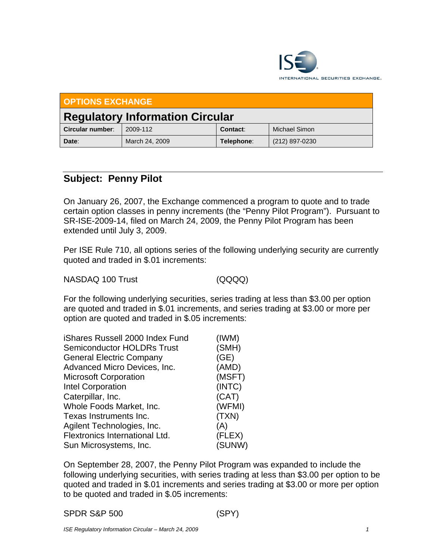

| <b>OPTIONS EXCHANGE</b>                |                |            |                      |  |  |
|----------------------------------------|----------------|------------|----------------------|--|--|
| <b>Regulatory Information Circular</b> |                |            |                      |  |  |
| Circular number:                       | 2009-112       | Contact:   | <b>Michael Simon</b> |  |  |
| Date:                                  | March 24, 2009 | Telephone: | (212) 897-0230       |  |  |

## **Subject: Penny Pilot**

On January 26, 2007, the Exchange commenced a program to quote and to trade certain option classes in penny increments (the "Penny Pilot Program"). Pursuant to SR-ISE-2009-14, filed on March 24, 2009, the Penny Pilot Program has been extended until July 3, 2009.

Per ISE Rule 710, all options series of the following underlying security are currently quoted and traded in \$.01 increments:

NASDAQ 100 Trust (QQQQ)

For the following underlying securities, series trading at less than \$3.00 per option are quoted and traded in \$.01 increments, and series trading at \$3.00 or more per option are quoted and traded in \$.05 increments:

| iShares Russell 2000 Index Fund   | (IWM)  |
|-----------------------------------|--------|
| <b>Semiconductor HOLDRs Trust</b> | (SMH)  |
| <b>General Electric Company</b>   | (GE)   |
| Advanced Micro Devices, Inc.      | (AMD)  |
| <b>Microsoft Corporation</b>      | (MSFT) |
| <b>Intel Corporation</b>          | (INTC) |
| Caterpillar, Inc.                 | (CAT)  |
| Whole Foods Market, Inc.          | (WFMI) |
| Texas Instruments Inc.            | (TXN)  |
| Agilent Technologies, Inc.        | (A)    |
| Flextronics International Ltd.    | (FLEX) |
| Sun Microsystems, Inc.            | (SUNW) |

On September 28, 2007, the Penny Pilot Program was expanded to include the following underlying securities, with series trading at less than \$3.00 per option to be quoted and traded in \$.01 increments and series trading at \$3.00 or more per option to be quoted and traded in \$.05 increments: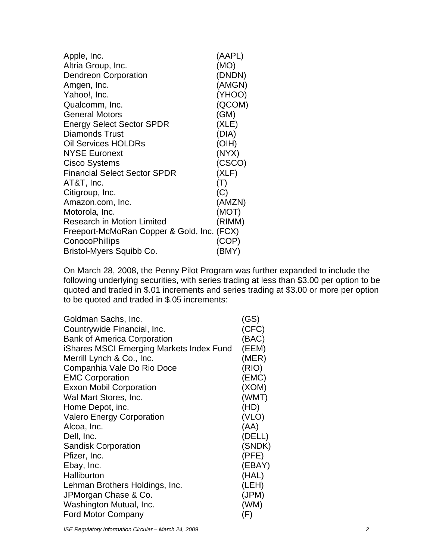| Apple, Inc.                                | (AAPL)         |
|--------------------------------------------|----------------|
| Altria Group, Inc.                         | (MO)           |
| Dendreon Corporation                       | (DNDN)         |
| Amgen, Inc.                                | (AMGN)         |
| Yahoo!, Inc.                               | (YHOO)         |
| Qualcomm, Inc.                             | (QCOM)         |
| <b>General Motors</b>                      | (GM)           |
| <b>Energy Select Sector SPDR</b>           | (XLE)          |
| Diamonds Trust                             | (DIA)          |
| <b>Oil Services HOLDRs</b>                 | (OIH)          |
| <b>NYSE Euronext</b>                       | (NYX)          |
| Cisco Systems                              | (CSCO)         |
| <b>Financial Select Sector SPDR</b>        | (XLF)          |
| AT&T, Inc.                                 | $(\mathsf{T})$ |
| Citigroup, Inc.                            | (C)            |
| Amazon.com, Inc.                           | (AMZN)         |
| Motorola, Inc.                             | (MOT)          |
| <b>Research in Motion Limited</b>          | (RIMM)         |
| Freeport-McMoRan Copper & Gold, Inc. (FCX) |                |
| ConocoPhillips                             | (COP)          |
| Bristol-Myers Squibb Co.                   | (BMY)          |

On March 28, 2008, the Penny Pilot Program was further expanded to include the following underlying securities, with series trading at less than \$3.00 per option to be quoted and traded in \$.01 increments and series trading at \$3.00 or more per option to be quoted and traded in \$.05 increments:

| Goldman Sachs, Inc.                      | (GS)   |
|------------------------------------------|--------|
| Countrywide Financial, Inc.              | (CFC)  |
| <b>Bank of America Corporation</b>       | (BAC)  |
| iShares MSCI Emerging Markets Index Fund | (EEM)  |
| Merrill Lynch & Co., Inc.                | (MER)  |
| Companhia Vale Do Rio Doce               | (RIO)  |
| <b>EMC Corporation</b>                   | (EMC)  |
| <b>Exxon Mobil Corporation</b>           | (XOM)  |
| Wal Mart Stores, Inc.                    | (WMT)  |
| Home Depot, inc.                         | (HD)   |
| <b>Valero Energy Corporation</b>         | (VLO)  |
| Alcoa, Inc.                              | (AA)   |
| Dell, Inc.                               | (DELL) |
| <b>Sandisk Corporation</b>               | (SNDK) |
| Pfizer, Inc.                             | (PFE)  |
| Ebay, Inc.                               | (EBAY) |
| Halliburton                              | (HAL)  |
| Lehman Brothers Holdings, Inc.           | (LEH)  |
| JPMorgan Chase & Co.                     | (JPM)  |
| Washington Mutual, Inc.                  | (WM)   |
| <b>Ford Motor Company</b>                | (F)    |

*ISE Regulatory Information Circular – March 24, 2009* 2